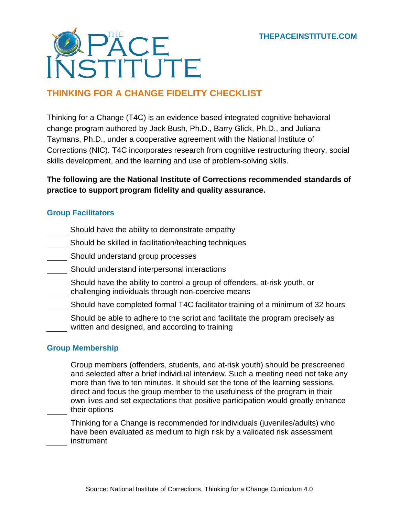

# **THINKING FOR A CHANGE FIDELITY CHECKLIST**

Thinking for a Change (T4C) is an evidence-based integrated cognitive behavioral change program authored by Jack Bush, Ph.D., Barry Glick, Ph.D., and Juliana Taymans, Ph.D., under a cooperative agreement with the National Institute of Corrections (NIC). T4C incorporates research from cognitive restructuring theory, social skills development, and the learning and use of problem-solving skills.

## **The following are the National Institute of Corrections recommended standards of practice to support program fidelity and quality assurance.**

### **Group Facilitators**

- Should have the ability to demonstrate empathy
- Should be skilled in facilitation/teaching techniques
- **Should understand group processes**
- **Should understand interpersonal interactions** 
	- Should have the ability to control a group of offenders, at-risk youth, or challenging individuals through non-coercive means
- Should have completed formal T4C facilitator training of a minimum of 32 hours
	- Should be able to adhere to the script and facilitate the program precisely as written and designed, and according to training

### **Group Membership**

Group members (offenders, students, and at-risk youth) should be prescreened and selected after a brief individual interview. Such a meeting need not take any more than five to ten minutes. It should set the tone of the learning sessions, direct and focus the group member to the usefulness of the program in their own lives and set expectations that positive participation would greatly enhance their options

Thinking for a Change is recommended for individuals (juveniles/adults) who have been evaluated as medium to high risk by a validated risk assessment instrument